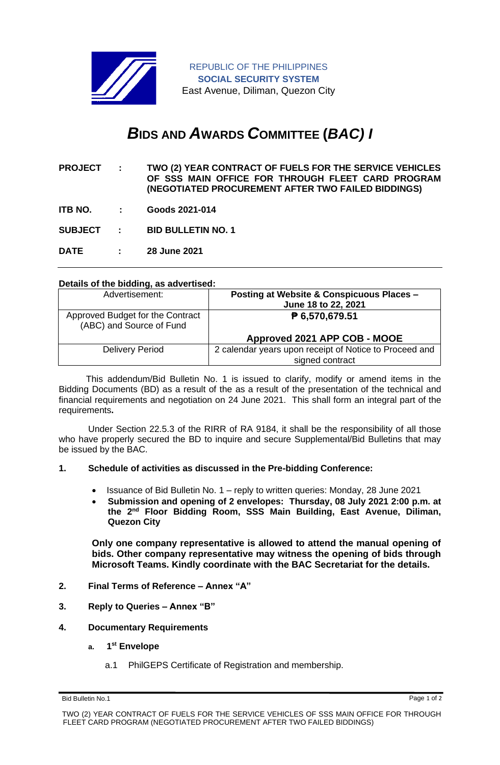

REPUBLIC OF THE PHILIPPINES **SOCIAL SECURITY SYSTEM** East Avenue, Diliman, Quezon City

## *B***IDS AND** *A***WARDS** *C***OMMITTEE (***BAC) I*

- **PROJECT : TWO (2) YEAR CONTRACT OF FUELS FOR THE SERVICE VEHICLES OF SSS MAIN OFFICE FOR THROUGH FLEET CARD PROGRAM (NEGOTIATED PROCUREMENT AFTER TWO FAILED BIDDINGS)**
- **ITB NO. : Goods 2021-014**

**SUBJECT : BID BULLETIN NO. 1**

**DATE : 28 June 2021**

## **Details of the bidding, as advertised:**

| Advertisement:                                               | Posting at Website & Conspicuous Places -<br>June 18 to 22, 2021 |
|--------------------------------------------------------------|------------------------------------------------------------------|
| Approved Budget for the Contract<br>(ABC) and Source of Fund | ₱ 6,570,679.51                                                   |
|                                                              | Approved 2021 APP COB - MOOE                                     |
| <b>Delivery Period</b>                                       | 2 calendar years upon receipt of Notice to Proceed and           |
|                                                              | signed contract                                                  |

 This addendum/Bid Bulletin No. 1 is issued to clarify, modify or amend items in the Bidding Documents (BD) as a result of the as a result of the presentation of the technical and financial requirements and negotiation on 24 June 2021. This shall form an integral part of the requirements**.**

Under Section 22.5.3 of the RIRR of RA 9184, it shall be the responsibility of all those who have properly secured the BD to inquire and secure Supplemental/Bid Bulletins that may be issued by the BAC.

## **1. Schedule of activities as discussed in the Pre-bidding Conference:**

- Issuance of Bid Bulletin No. 1 reply to written queries: Monday, 28 June 2021
- **Submission and opening of 2 envelopes: Thursday, 08 July 2021 2:00 p.m. at the 2nd Floor Bidding Room, SSS Main Building, East Avenue, Diliman, Quezon City**

**Only one company representative is allowed to attend the manual opening of bids. Other company representative may witness the opening of bids through Microsoft Teams. Kindly coordinate with the BAC Secretariat for the details.**

- **2. Final Terms of Reference – Annex "A"**
- **3. Reply to Queries – Annex "B"**
- **4. Documentary Requirements**
	- **a. 1 st Envelope**
		- a.1 PhilGEPS Certificate of Registration and membership.

Bid Bulletin No.1 Page 1 of 2